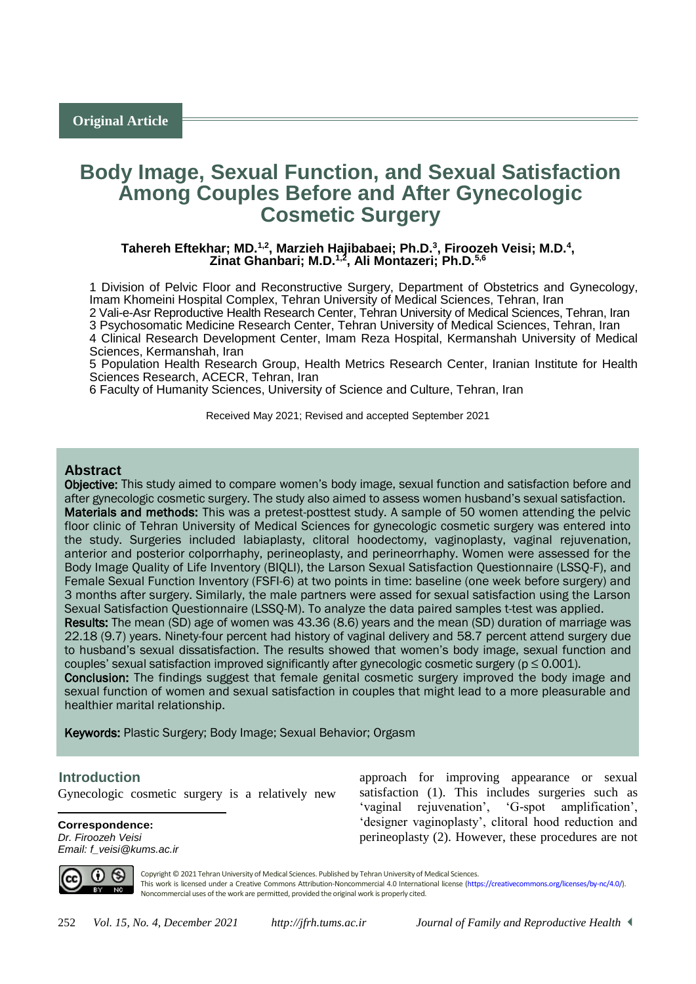# **Body Image, Sexual Function, and Sexual Satisfaction Among Couples Before and After Gynecologic Cosmetic Surgery**

#### Tahereh Eftekhar; MD.<sup>1,2</sup>, Marzieh Hajibabaei; Ph.D.<sup>3</sup>, Firoozeh Veisi; M.D.<sup>4</sup>, **Zinat Ghanbari; M.D.1,2, Ali Montazeri; Ph.D.5,6**

1 Division of Pelvic Floor and Reconstructive Surgery, Department of Obstetrics and Gynecology, Imam Khomeini Hospital Complex, Tehran University of Medical Sciences, Tehran, Iran

2 Vali-e-Asr Reproductive Health Research Center, Tehran University of Medical Sciences, Tehran, Iran 3 Psychosomatic Medicine Research Center, Tehran University of Medical Sciences, Tehran, Iran

4 Clinical Research Development Center, Imam Reza Hospital, Kermanshah University of Medical Sciences, Kermanshah, Iran

5 Population Health Research Group, Health Metrics Research Center, Iranian Institute for Health Sciences Research, ACECR, Tehran, Iran

6 Faculty of Humanity Sciences, University of Science and Culture, Tehran, Iran

Received May 2021; Revised and accepted September 2021

# **Abstract**

Objective: This study aimed to compare women's body image, sexual function and satisfaction before and after gynecologic cosmetic surgery. The study also aimed to assess women husband's sexual satisfaction. Materials and methods: This was a pretest-posttest study. A sample of 50 women attending the pelvic floor clinic of Tehran University of Medical Sciences for gynecologic cosmetic surgery was entered into the study. Surgeries included labiaplasty, clitoral hoodectomy, vaginoplasty, vaginal rejuvenation, anterior and posterior colporrhaphy, perineoplasty, and perineorrhaphy. Women were assessed for the Body Image Quality of Life Inventory (BIQLI), the Larson Sexual Satisfaction Questionnaire (LSSQ-F), and Female Sexual Function Inventory (FSFI-6) at two points in time: baseline (one week before surgery) and 3 months after surgery. Similarly, the male partners were assed for sexual satisfaction using the Larson Sexual Satisfaction Questionnaire (LSSQ-M). To analyze the data paired samples t-test was applied. Results: The mean (SD) age of women was 43.36 (8.6) years and the mean (SD) duration of marriage was 22.18 (9.7) years. Ninety-four percent had history of vaginal delivery and 58.7 percent attend surgery due to husband's sexual dissatisfaction. The results showed that women's body image, sexual function and couples' sexual satisfaction improved significantly after gynecologic cosmetic surgery ( $p \le 0.001$ ). Conclusion: The findings suggest that female genital cosmetic surgery improved the body image and sexual function of women and sexual satisfaction in couples that might lead to a more pleasurable and healthier marital relationship.

Keywords: Plastic Surgery; Body Image; Sexual Behavior; Orgasm

# <sup>1</sup>**Introduction**

 $\overline{a}$ 

Gynecologic cosmetic surgery is a relatively new

**Correspondence:** *Dr. Firoozeh Veisi Email: f\_veisi@kums.ac.ir* approach for improving appearance or sexual satisfaction (1). This includes surgeries such as 'vaginal rejuvenation', 'G-spot amplification', 'designer vaginoplasty', clitoral hood reduction and perineoplasty (2). However, these procedures are not



Copyright © 2021 Tehran University of Medical Sciences. Published by Tehran University of Medical Sciences. This work is licensed under a Creative Commons Attribution-Noncommercial 4.0 International license [\(https://creativecommons.org/licenses/by-nc/4.0/\)](https://creativecommons.org/licenses/by-nc/4.0/). Noncommercial uses of the work are permitted, provided the original work is properly cited.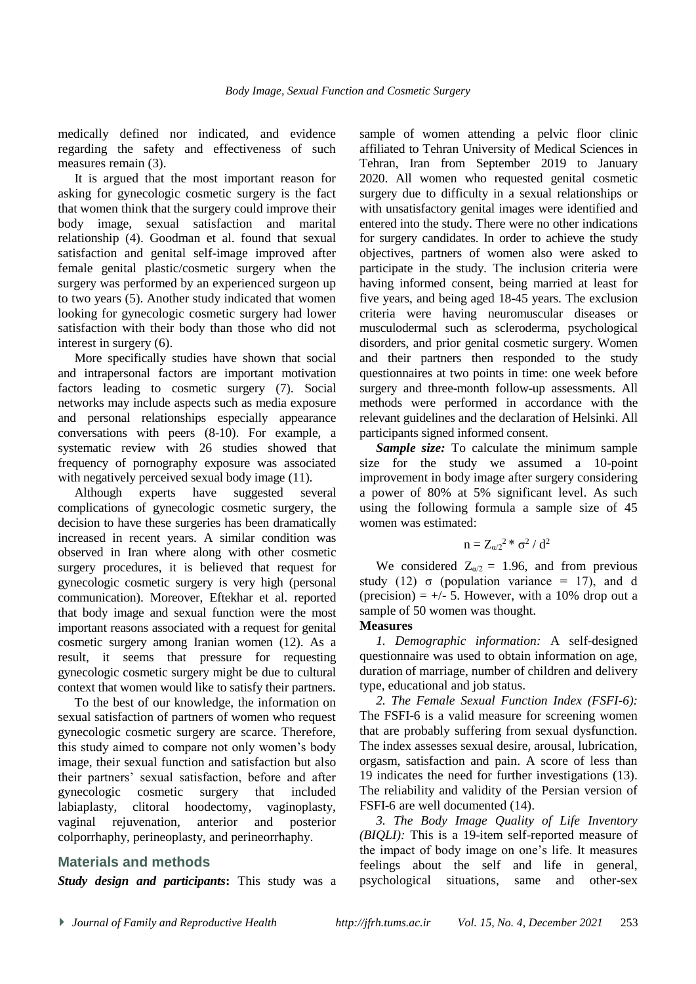medically defined nor indicated, and evidence regarding the safety and effectiveness of such measures remain (3).

It is argued that the most important reason for asking for gynecologic cosmetic surgery is the fact that women think that the surgery could improve their body image, sexual satisfaction and marital relationship (4). Goodman et al. found that sexual satisfaction and genital self-image improved after female genital plastic/cosmetic surgery when the surgery was performed by an experienced surgeon up to two years (5). Another study indicated that women looking for gynecologic cosmetic surgery had lower satisfaction with their body than those who did not interest in surgery (6).

More specifically studies have shown that social and intrapersonal factors are important motivation factors leading to cosmetic surgery (7). Social networks may include aspects such as media exposure and personal relationships especially appearance conversations with peers (8-10). For example, a systematic review with 26 studies showed that frequency of pornography exposure was associated with negatively perceived sexual body image  $(11)$ .

Although experts have suggested several complications of gynecologic cosmetic surgery, the decision to have these surgeries has been dramatically increased in recent years. A similar condition was observed in Iran where along with other cosmetic surgery procedures, it is believed that request for gynecologic cosmetic surgery is very high (personal communication). Moreover, Eftekhar et al. reported that body image and sexual function were the most important reasons associated with a request for genital cosmetic surgery among Iranian women (12). As a result, it seems that pressure for requesting gynecologic cosmetic surgery might be due to cultural context that women would like to satisfy their partners.

To the best of our knowledge, the information on sexual satisfaction of partners of women who request gynecologic cosmetic surgery are scarce. Therefore, this study aimed to compare not only women's body image, their sexual function and satisfaction but also their partners' sexual satisfaction, before and after gynecologic cosmetic surgery that included labiaplasty, clitoral hoodectomy, vaginoplasty, vaginal rejuvenation, anterior and posterior colporrhaphy, perineoplasty, and perineorrhaphy.

#### **Materials and methods**

*Study design and participants***:** This study was a

sample of women attending a pelvic floor clinic affiliated to Tehran University of Medical Sciences in Tehran, Iran from September 2019 to January 2020. All women who requested genital cosmetic surgery due to difficulty in a sexual relationships or with unsatisfactory genital images were identified and entered into the study. There were no other indications for surgery candidates. In order to achieve the study objectives, partners of women also were asked to participate in the study. The inclusion criteria were having informed consent, being married at least for five years, and being aged 18-45 years. The exclusion criteria were having neuromuscular diseases or musculodermal such as scleroderma, psychological disorders, and prior genital cosmetic surgery. Women and their partners then responded to the study questionnaires at two points in time: one week before surgery and three-month follow-up assessments. All methods were performed in accordance with the relevant guidelines and the declaration of Helsinki. All participants signed informed consent.

*Sample size:* To calculate the minimum sample size for the study we assumed a 10-point improvement in body image after surgery considering a power of 80% at 5% significant level. As such using the following formula a sample size of 45 women was estimated:

$$
n=Z_{\alpha/2}{}^2\mathrel{\mathop{\ast}}\sigma^2/\,d^2
$$

We considered  $Z_{\alpha/2} = 1.96$ , and from previous study (12)  $\sigma$  (population variance = 17), and d (precision)  $= +/- 5$ . However, with a 10% drop out a sample of 50 women was thought.

#### **Measures**

*1. Demographic information:* A self-designed questionnaire was used to obtain information on age, duration of marriage, number of children and delivery type, educational and job status.

*2. The Female Sexual Function Index (FSFI-6):* The FSFI-6 is a valid measure for screening women that are probably suffering from sexual dysfunction. The index assesses sexual desire, arousal, lubrication, orgasm, satisfaction and pain. A score of less than 19 indicates the need for further investigations (13). The reliability and validity of the Persian version of FSFI-6 are well documented (14).

*3. The Body Image Quality of Life Inventory (BIQLI):* This is a 19-item self-reported measure of the impact of body image on one's life. It measures feelings about the self and life in general, psychological situations, same and other-sex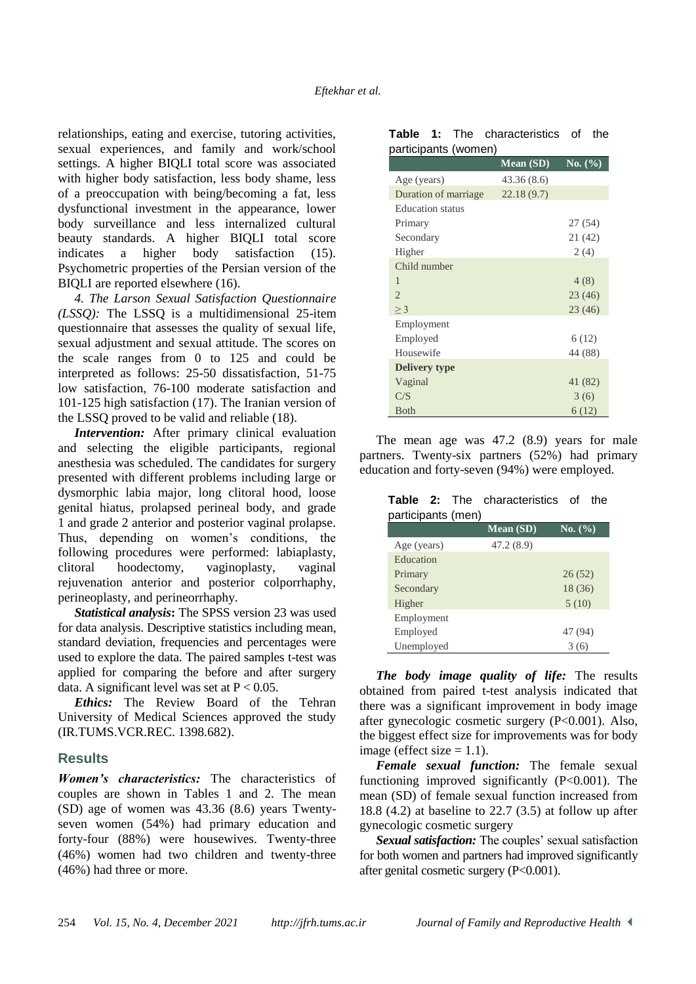relationships, eating and exercise, tutoring activities, sexual experiences, and family and work/school settings. A higher BIQLI total score was associated with higher body satisfaction, less body shame, less of a preoccupation with being/becoming a fat, less dysfunctional investment in the appearance, lower body surveillance and less internalized cultural beauty standards. A higher BIQLI total score indicates a higher body satisfaction (15). Psychometric properties of the Persian version of the BIQLI are reported elsewhere (16).

*4. The Larson Sexual Satisfaction Questionnaire (LSSQ):* The LSSQ is a multidimensional 25-item questionnaire that assesses the quality of sexual life, sexual adjustment and sexual attitude. The scores on the scale ranges from 0 to 125 and could be interpreted as follows: 25-50 dissatisfaction, 51-75 low satisfaction, 76-100 moderate satisfaction and 101-125 high satisfaction (17). The Iranian version of the LSSQ proved to be valid and reliable (18).

*Intervention:* After primary clinical evaluation and selecting the eligible participants, regional anesthesia was scheduled. The candidates for surgery presented with different problems including large or dysmorphic labia major, long clitoral hood, loose genital hiatus, prolapsed perineal body, and grade 1 and grade 2 anterior and posterior vaginal prolapse. Thus, depending on women's conditions, the following procedures were performed: labiaplasty, clitoral hoodectomy, vaginoplasty, vaginal rejuvenation anterior and posterior colporrhaphy, perineoplasty, and perineorrhaphy.

*Statistical analysis***:** The SPSS version 23 was used for data analysis. Descriptive statistics including mean, standard deviation, frequencies and percentages were used to explore the data. The paired samples t-test was applied for comparing the before and after surgery data. A significant level was set at  $P < 0.05$ .

*Ethics:* The Review Board of the Tehran University of Medical Sciences approved the study (IR.TUMS.VCR.REC. 1398.682).

#### **Results**

*Women's characteristics:* The characteristics of couples are shown in Tables 1 and 2. The mean (SD) age of women was 43.36 (8.6) years Twentyseven women (54%) had primary education and forty-four (88%) were housewives. Twenty-three (46%) women had two children and twenty-three (46%) had three or more.

|                      |  |  | <b>Table 1:</b> The characteristics of the |  |  |
|----------------------|--|--|--------------------------------------------|--|--|
| participants (women) |  |  |                                            |  |  |

|                         | <b>Mean (SD)</b> | No. $\overline{(\%)}$ |
|-------------------------|------------------|-----------------------|
| Age (years)             | 43.36(8.6)       |                       |
| Duration of marriage    | 22.18(9.7)       |                       |
| <b>Education</b> status |                  |                       |
| Primary                 |                  | 27(54)                |
| Secondary               |                  | 21 (42)               |
| Higher                  |                  | 2(4)                  |
| Child number            |                  |                       |
| $\mathbf{1}$            |                  | 4(8)                  |
| $\overline{2}$          |                  | 23(46)                |
| $\geq$ 3                |                  | 23(46)                |
| Employment              |                  |                       |
| Employed                |                  | 6(12)                 |
| Housewife               |                  | 44 (88)               |
| <b>Delivery type</b>    |                  |                       |
| Vaginal                 |                  | 41 (82)               |
| C/S                     |                  | 3(6)                  |
| <b>B</b> oth            |                  | 6(12)                 |

The mean age was 47.2 (8.9) years for male partners. Twenty-six partners (52%) had primary education and forty-seven (94%) were employed.

**Table 2:** The characteristics of the participants (men)

| . <del>.</del> | <b>Mean</b> (SD) | No. (%) |
|----------------|------------------|---------|
| Age (years)    | 47.2(8.9)        |         |
| Education      |                  |         |
| Primary        |                  | 26(52)  |
| Secondary      |                  | 18 (36) |
| Higher         |                  | 5(10)   |
| Employment     |                  |         |
| Employed       |                  | 47 (94) |
| Unemployed     |                  |         |

*The body image quality of life:* The results obtained from paired t-test analysis indicated that there was a significant improvement in body image after gynecologic cosmetic surgery (P<0.001). Also, the biggest effect size for improvements was for body image (effect size  $= 1.1$ ).

*Female sexual function:* The female sexual functioning improved significantly  $(P<0.001)$ . The mean (SD) of female sexual function increased from 18.8 (4.2) at baseline to 22.7 (3.5) at follow up after gynecologic cosmetic surgery

*Sexual satisfaction:* The couples' sexual satisfaction for both women and partners had improved significantly after genital cosmetic surgery (P<0.001).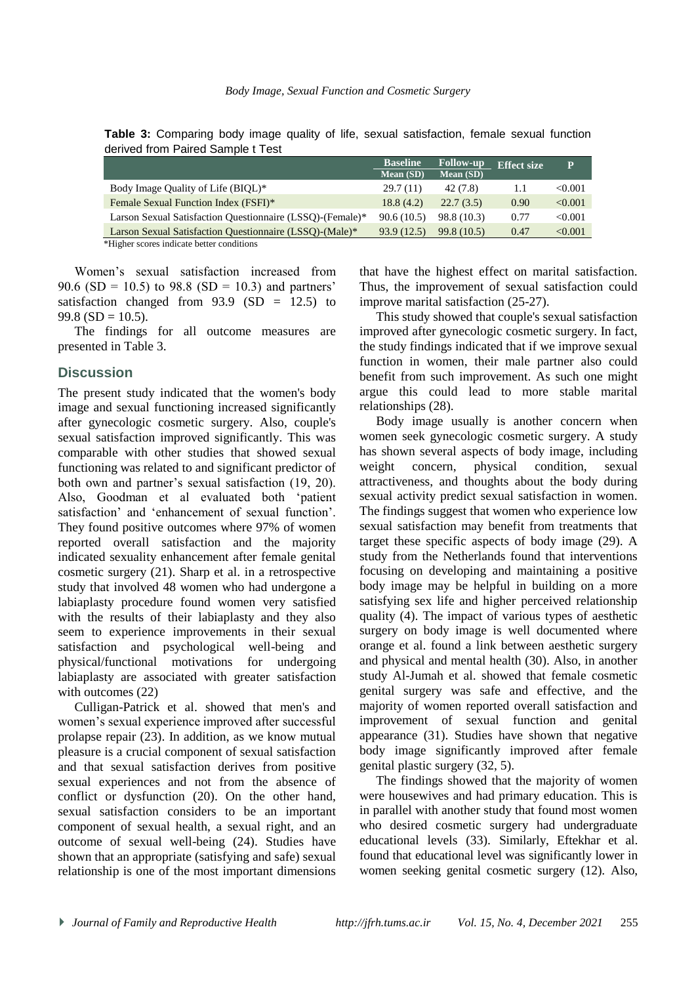|                                                                                                                                                                                                                               | <b>Baseline</b>  | <b>Follow-up</b> | <b>Effect size</b> | P       |  |  |  |
|-------------------------------------------------------------------------------------------------------------------------------------------------------------------------------------------------------------------------------|------------------|------------------|--------------------|---------|--|--|--|
|                                                                                                                                                                                                                               | <b>Mean</b> (SD) | Mean (SD)        |                    |         |  |  |  |
| Body Image Quality of Life (BIQL)*                                                                                                                                                                                            | 29.7(11)         | 42 (7.8)         | 1.1                | < 0.001 |  |  |  |
| Female Sexual Function Index (FSFI)*                                                                                                                                                                                          | 18.8(4.2)        | 22.7(3.5)        | 0.90               | < 0.001 |  |  |  |
| Larson Sexual Satisfaction Questionnaire (LSSQ)-(Female)*                                                                                                                                                                     | 90.6(10.5)       | 98.8 (10.3)      | 0.77               | < 0.001 |  |  |  |
| Larson Sexual Satisfaction Questionnaire (LSSQ)-(Male)*                                                                                                                                                                       | 93.9 (12.5)      | 99.8 (10.5)      | 0.47               | < 0.001 |  |  |  |
| $-4.777$ . The set of the set of the set of the set of the set of the set of the set of the set of the set of the set of the set of the set of the set of the set of the set of the set of the set of the set of the set of t |                  |                  |                    |         |  |  |  |

**Table 3:** Comparing body image quality of life, sexual satisfaction, female sexual function derived from Paired Sample t Test

\*Higher scores indicate better conditions

Women's sexual satisfaction increased from 90.6 (SD = 10.5) to 98.8 (SD = 10.3) and partners' satisfaction changed from  $93.9$  (SD = 12.5) to  $99.8$  (SD = 10.5).

The findings for all outcome measures are presented in Table 3.

#### **Discussion**

The present study indicated that the women's body image and sexual functioning increased significantly after gynecologic cosmetic surgery. Also, couple's sexual satisfaction improved significantly. This was comparable with other studies that showed sexual functioning was related to and significant predictor of both own and partner's sexual satisfaction (19, 20). Also, Goodman et al evaluated both 'patient satisfaction' and 'enhancement of sexual function'. They found positive outcomes where 97% of women reported overall satisfaction and the majority indicated sexuality enhancement after female genital cosmetic surgery (21). Sharp et al. in a retrospective study that involved 48 women who had undergone a labiaplasty procedure found women very satisfied with the results of their labiaplasty and they also seem to experience improvements in their sexual satisfaction and psychological well-being and physical/functional motivations for undergoing labiaplasty are associated with greater satisfaction with outcomes (22)

Culligan-Patrick et al. showed that men's and women's sexual experience improved after successful prolapse repair (23). In addition, as we know mutual pleasure is a crucial component of sexual satisfaction and that sexual satisfaction derives from positive sexual experiences and not from the absence of conflict or dysfunction (20). On the other hand, sexual satisfaction considers to be an important component of sexual health, a sexual right, and an outcome of sexual well-being (24). Studies have shown that an appropriate (satisfying and safe) sexual relationship is one of the most important dimensions

that have the highest effect on marital satisfaction. Thus, the improvement of sexual satisfaction could improve marital satisfaction (25-27).

This study showed that couple's sexual satisfaction improved after gynecologic cosmetic surgery. In fact, the study findings indicated that if we improve sexual function in women, their male partner also could benefit from such improvement. As such one might argue this could lead to more stable marital relationships (28).

Body image usually is another concern when women seek gynecologic cosmetic surgery. A study has shown several aspects of body image, including weight concern, physical condition, sexual attractiveness, and thoughts about the body during sexual activity predict sexual satisfaction in women. The findings suggest that women who experience low sexual satisfaction may benefit from treatments that target these specific aspects of body image (29). A study from the Netherlands found that interventions focusing on developing and maintaining a positive body image may be helpful in building on a more satisfying sex life and higher perceived relationship quality (4). The impact of various types of aesthetic surgery on body image is well documented where orange et al. found a link between aesthetic surgery and physical and mental health (30). Also, in another study Al-Jumah et al. showed that female cosmetic genital surgery was safe and effective, and the majority of women reported overall satisfaction and improvement of sexual function and genital appearance (31). Studies have shown that negative body image significantly improved after female genital plastic surgery (32, 5).

The findings showed that the majority of women were housewives and had primary education. This is in parallel with another study that found most women who desired cosmetic surgery had undergraduate educational levels (33). Similarly, Eftekhar et al. found that educational level was significantly lower in women seeking genital cosmetic surgery (12). Also,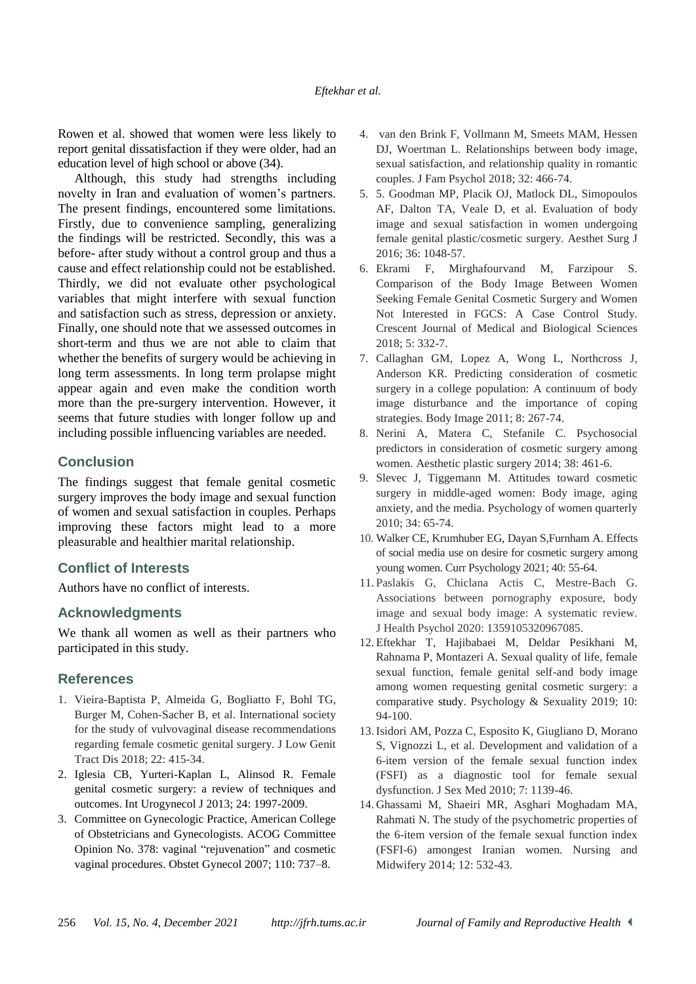Rowen et al. showed that women were less likely to report genital dissatisfaction if they were older, had an education level of high school or above (34).

Although, this study had strengths including novelty in Iran and evaluation of women's partners. The present findings, encountered some limitations. Firstly, due to convenience sampling, generalizing the findings will be restricted. Secondly, this was a before- after study without a control group and thus a cause and effect relationship could not be established. Thirdly, we did not evaluate other psychological variables that might interfere with sexual function and satisfaction such as stress, depression or anxiety. Finally, one should note that we assessed outcomes in short-term and thus we are not able to claim that whether the benefits of surgery would be achieving in long term assessments. In long term prolapse might appear again and even make the condition worth more than the pre-surgery intervention. However, it seems that future studies with longer follow up and including possible influencing variables are needed.

# **Conclusion**

The findings suggest that female genital cosmetic surgery improves the body image and sexual function of women and sexual satisfaction in couples. Perhaps improving these factors might lead to a more pleasurable and healthier marital relationship.

# **Conflict of Interests**

Authors have no conflict of interests.

# **Acknowledgments**

We thank all women as well as their partners who participated in this study.

# **References**

- 1. Vieira-Baptista P, Almeida G, Bogliatto F, Bohl TG, Burger M, Cohen-Sacher B, et al. International society for the study of vulvovaginal disease recommendations regarding female cosmetic genital surgery. J Low Genit Tract Dis 2018; 22: 415-34.
- 2. Iglesia CB, Yurteri-Kaplan L, Alinsod R. Female genital cosmetic surgery: a review of techniques and outcomes. Int Urogynecol J 2013; 24: 1997-2009.
- 3. Committee on Gynecologic Practice, American College of Obstetricians and Gynecologists. ACOG Committee Opinion No. 378: vaginal "rejuvenation" and cosmetic vaginal procedures. Obstet Gynecol 2007; 110: 737–8.
- 4. van den Brink F, Vollmann M, Smeets MAM, Hessen DJ, Woertman L. Relationships between body image, sexual satisfaction, and relationship quality in romantic couples. J Fam Psychol 2018; 32: 466-74.
- 5. 5. Goodman MP, Placik OJ, Matlock DL, Simopoulos AF, Dalton TA, Veale D, et al. Evaluation of body image and sexual satisfaction in women undergoing female genital plastic/cosmetic surgery. Aesthet Surg J 2016; 36: 1048-57.
- 6. Ekrami F, Mirghafourvand M, Farzipour S. Comparison of the Body Image Between Women Seeking Female Genital Cosmetic Surgery and Women Not Interested in FGCS: A Case Control Study. Crescent Journal of Medical and Biological Sciences 2018; 5: 332-7.
- 7. Callaghan GM, Lopez A, Wong L, Northcross J, Anderson KR. Predicting consideration of cosmetic surgery in a college population: A continuum of body image disturbance and the importance of coping strategies. Body Image 2011; 8: 267-74.
- 8. Nerini A, Matera C, Stefanile C. Psychosocial predictors in consideration of cosmetic surgery among women. Aesthetic plastic surgery 2014; 38: 461-6.
- 9. Slevec J, Tiggemann M. Attitudes toward cosmetic surgery in middle-aged women: Body image, aging anxiety, and the media. Psychology of women quarterly 2010; 34: 65-74.
- 10. Walker CE, Krumhuber EG, Dayan S,Furnham A. Effects of social media use on desire for cosmetic surgery among young women. Curr Psychology 2021; 40: 55-64.
- 11. Paslakis G, Chiclana Actis C, Mestre-Bach G. Associations between pornography exposure, body image and sexual body image: A systematic review. J Health Psychol 2020: 1359105320967085.
- 12. Eftekhar T, Hajibabaei M, Deldar Pesikhani M, Rahnama P, Montazeri A. Sexual quality of life, female sexual function, female genital self-and body image among women requesting genital cosmetic surgery: a comparative study. Psychology & Sexuality 2019; 10: 94-100.
- 13.Isidori AM, Pozza C, Esposito K, Giugliano D, Morano S, Vignozzi L, et al. Development and validation of a 6-item version of the female sexual function index (FSFI) as a diagnostic tool for female sexual dysfunction. J Sex Med 2010; 7: 1139-46.
- 14. Ghassami M, Shaeiri MR, Asghari Moghadam MA, Rahmati N. The study of the psychometric properties of the 6-item version of the female sexual function index (FSFI-6) amongest Iranian women. Nursing and Midwifery 2014; 12: 532-43.